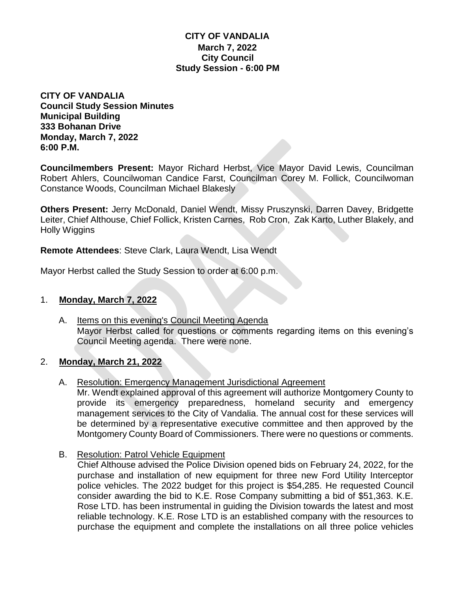## **CITY OF VANDALIA March 7, 2022 City Council Study Session - 6:00 PM**

**CITY OF VANDALIA Council Study Session Minutes Municipal Building 333 Bohanan Drive Monday, March 7, 2022 6:00 P.M.**

**Councilmembers Present:** Mayor Richard Herbst, Vice Mayor David Lewis, Councilman Robert Ahlers, Councilwoman Candice Farst, Councilman Corey M. Follick, Councilwoman Constance Woods, Councilman Michael Blakesly

**Others Present:** Jerry McDonald, Daniel Wendt, Missy Pruszynski, Darren Davey, Bridgette Leiter, Chief Althouse, Chief Follick, Kristen Carnes, Rob Cron, Zak Karto, Luther Blakely, and Holly Wiggins

**Remote Attendees**: Steve Clark, Laura Wendt, Lisa Wendt

Mayor Herbst called the Study Session to order at 6:00 p.m.

## 1. **Monday, March 7, 2022**

A. Items on this evening's Council Meeting Agenda Mayor Herbst called for questions or comments regarding items on this evening's Council Meeting agenda. There were none.

### 2. **Monday, March 21, 2022**

- A. Resolution: Emergency Management Jurisdictional Agreement Mr. Wendt explained approval of this agreement will authorize Montgomery County to provide its emergency preparedness, homeland security and emergency management services to the City of Vandalia. The annual cost for these services will be determined by a representative executive committee and then approved by the Montgomery County Board of Commissioners. There were no questions or comments.
- B. Resolution: Patrol Vehicle Equipment

Chief Althouse advised the Police Division opened bids on February 24, 2022, for the purchase and installation of new equipment for three new Ford Utility Interceptor police vehicles. The 2022 budget for this project is \$54,285. He requested Council consider awarding the bid to K.E. Rose Company submitting a bid of \$51,363. K.E. Rose LTD. has been instrumental in guiding the Division towards the latest and most reliable technology. K.E. Rose LTD is an established company with the resources to purchase the equipment and complete the installations on all three police vehicles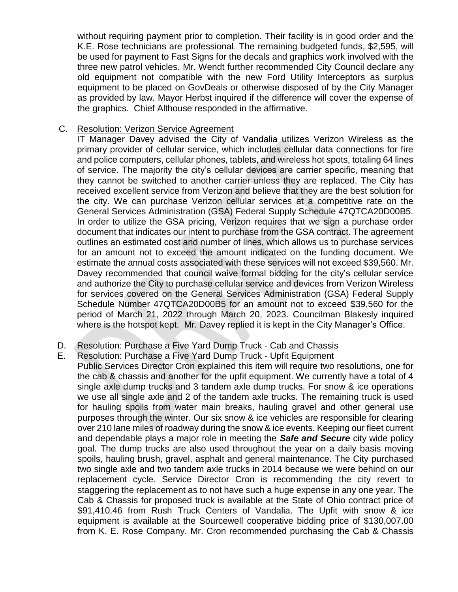without requiring payment prior to completion. Their facility is in good order and the K.E. Rose technicians are professional. The remaining budgeted funds, \$2,595, will be used for payment to Fast Signs for the decals and graphics work involved with the three new patrol vehicles. Mr. Wendt further recommended City Council declare any old equipment not compatible with the new Ford Utility Interceptors as surplus equipment to be placed on GovDeals or otherwise disposed of by the City Manager as provided by law. Mayor Herbst inquired if the difference will cover the expense of the graphics. Chief Althouse responded in the affirmative.

#### C. Resolution: Verizon Service Agreement

IT Manager Davey advised the City of Vandalia utilizes Verizon Wireless as the primary provider of cellular service, which includes cellular data connections for fire and police computers, cellular phones, tablets, and wireless hot spots, totaling 64 lines of service. The majority the city's cellular devices are carrier specific, meaning that they cannot be switched to another carrier unless they are replaced. The City has received excellent service from Verizon and believe that they are the best solution for the city. We can purchase Verizon cellular services at a competitive rate on the General Services Administration (GSA) Federal Supply Schedule 47QTCA20D00B5. In order to utilize the GSA pricing, Verizon requires that we sign a purchase order document that indicates our intent to purchase from the GSA contract. The agreement outlines an estimated cost and number of lines, which allows us to purchase services for an amount not to exceed the amount indicated on the funding document. We estimate the annual costs associated with these services will not exceed \$39,560. Mr. Davey recommended that council waive formal bidding for the city's cellular service and authorize the City to purchase cellular service and devices from Verizon Wireless for services covered on the General Services Administration (GSA) Federal Supply Schedule Number 47QTCA20D00B5 for an amount not to exceed \$39,560 for the period of March 21, 2022 through March 20, 2023. Councilman Blakesly inquired where is the hotspot kept. Mr. Davey replied it is kept in the City Manager's Office.

# D. Resolution: Purchase a Five Yard Dump Truck - Cab and Chassis

### E. Resolution: Purchase a Five Yard Dump Truck - Upfit Equipment

Public Services Director Cron explained this item will require two resolutions, one for the cab & chassis and another for the upfit equipment. We currently have a total of 4 single axle dump trucks and 3 tandem axle dump trucks. For snow & ice operations we use all single axle and 2 of the tandem axle trucks. The remaining truck is used for hauling spoils from water main breaks, hauling gravel and other general use purposes through the winter. Our six snow & ice vehicles are responsible for clearing over 210 lane miles of roadway during the snow & ice events. Keeping our fleet current and dependable plays a major role in meeting the *Safe and Secure* city wide policy goal. The dump trucks are also used throughout the year on a daily basis moving spoils, hauling brush, gravel, asphalt and general maintenance. The City purchased two single axle and two tandem axle trucks in 2014 because we were behind on our replacement cycle. Service Director Cron is recommending the city revert to staggering the replacement as to not have such a huge expense in any one year. The Cab & Chassis for proposed truck is available at the State of Ohio contract price of \$91,410.46 from Rush Truck Centers of Vandalia. The Upfit with snow & ice equipment is available at the Sourcewell cooperative bidding price of \$130,007.00 from K. E. Rose Company. Mr. Cron recommended purchasing the Cab & Chassis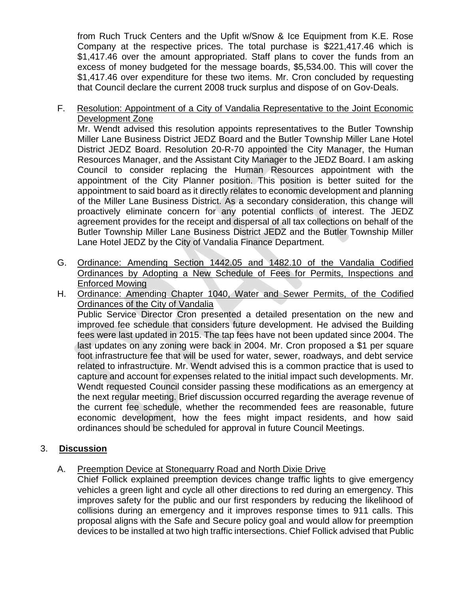from Ruch Truck Centers and the Upfit w/Snow & Ice Equipment from K.E. Rose Company at the respective prices. The total purchase is \$221,417.46 which is \$1,417.46 over the amount appropriated. Staff plans to cover the funds from an excess of money budgeted for the message boards, \$5,534.00. This will cover the \$1,417.46 over expenditure for these two items. Mr. Cron concluded by requesting that Council declare the current 2008 truck surplus and dispose of on Gov-Deals.

F. Resolution: Appointment of a City of Vandalia Representative to the Joint Economic Development Zone

Mr. Wendt advised this resolution appoints representatives to the Butler Township Miller Lane Business District JEDZ Board and the Butler Township Miller Lane Hotel District JEDZ Board. Resolution 20-R-70 appointed the City Manager, the Human Resources Manager, and the Assistant City Manager to the JEDZ Board. I am asking Council to consider replacing the Human Resources appointment with the appointment of the City Planner position. This position is better suited for the appointment to said board as it directly relates to economic development and planning of the Miller Lane Business District. As a secondary consideration, this change will proactively eliminate concern for any potential conflicts of interest. The JEDZ agreement provides for the receipt and dispersal of all tax collections on behalf of the Butler Township Miller Lane Business District JEDZ and the Butler Township Miller Lane Hotel JEDZ by the City of Vandalia Finance Department.

- G. Ordinance: Amending Section 1442.05 and 1482.10 of the Vandalia Codified Ordinances by Adopting a New Schedule of Fees for Permits, Inspections and Enforced Mowing
- H. Ordinance: Amending Chapter 1040, Water and Sewer Permits, of the Codified Ordinances of the City of Vandalia Public Service Director Cron presented a detailed presentation on the new and improved fee schedule that considers future development. He advised the Building fees were last updated in 2015. The tap fees have not been updated since 2004. The last updates on any zoning were back in 2004. Mr. Cron proposed a \$1 per square foot infrastructure fee that will be used for water, sewer, roadways, and debt service related to infrastructure. Mr. Wendt advised this is a common practice that is used to capture and account for expenses related to the initial impact such developments. Mr. Wendt requested Council consider passing these modifications as an emergency at the next regular meeting. Brief discussion occurred regarding the average revenue of the current fee schedule, whether the recommended fees are reasonable, future economic development, how the fees might impact residents, and how said ordinances should be scheduled for approval in future Council Meetings.

# 3. **Discussion**

# A. Preemption Device at Stonequarry Road and North Dixie Drive

Chief Follick explained preemption devices change traffic lights to give emergency vehicles a green light and cycle all other directions to red during an emergency. This improves safety for the public and our first responders by reducing the likelihood of collisions during an emergency and it improves response times to 911 calls. This proposal aligns with the Safe and Secure policy goal and would allow for preemption devices to be installed at two high traffic intersections. Chief Follick advised that Public